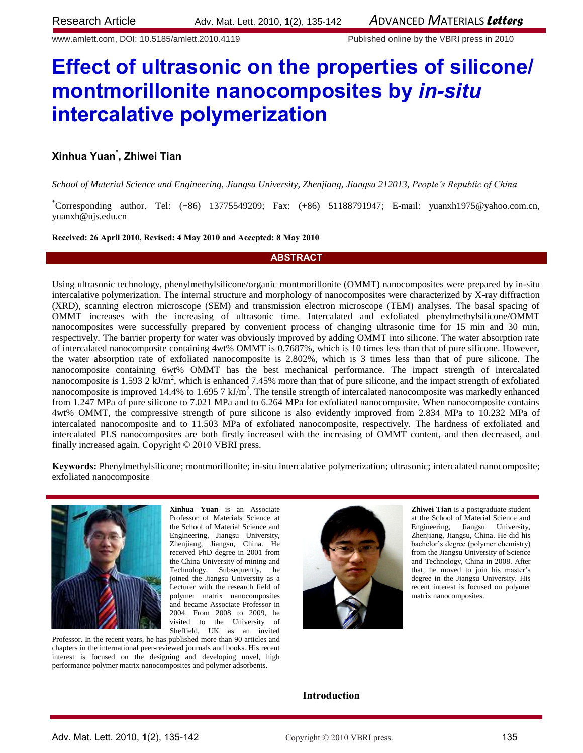www.amlett.com, DOI: 10.5185/amlett.2010.4119 Published online by the VBRI press in 2010

# **Effect of ultrasonic on the properties of silicone/ montmorillonite nanocomposites by** *in-situ* **intercalative polymerization**

# **Xinhua Yuan\* , Zhiwei Tian**

*School of Material Science and Engineering, Jiangsu University, Zhenjiang, Jiangsu 212013, People's Republic of China*

\*Corresponding author. Tel: (+86) 13775549209; Fax: (+86) 51188791947; E-mail: [yuanxh1975@yahoo.com.cn,](mailto:yuanxh1975@yahoo.com.cn) [yuanxh@ujs.edu.cn](mailto:yuanxh@ujs.edu.cn)

**Received: 26 April 2010, Revised: 4 May 2010 and Accepted: 8 May 2010**

## **ABSTRACT**

Using ultrasonic technology, phenylmethylsilicone/organic montmorillonite (OMMT) nanocomposites were prepared by in-situ intercalative polymerization. The internal structure and morphology of nanocomposites were characterized by X-ray diffraction (XRD), scanning electron microscope (SEM) and transmission electron microscope (TEM) analyses. The basal spacing of OMMT increases with the increasing of ultrasonic time. Intercalated and exfoliated phenylmethylsilicone/OMMT nanocomposites were successfully prepared by convenient process of changing ultrasonic time for 15 min and 30 min, respectively. The barrier property for water was obviously improved by adding OMMT into silicone. The water absorption rate of intercalated nanocomposite containing 4wt% OMMT is 0.7687%, which is 10 times less than that of pure silicone. However, the water absorption rate of exfoliated nanocomposite is 2.802%, which is 3 times less than that of pure silicone. The nanocomposite containing 6wt% OMMT has the best mechanical performance. The impact strength of intercalated nanocomposite is  $1.593$  2 kJ/m<sup>2</sup>, which is enhanced 7.45% more than that of pure silicone, and the impact strength of exfoliated nanocomposite is improved 14.4% to 1.695 7  $kJ/m^2$ . The tensile strength of intercalated nanocomposite was markedly enhanced from 1.247 MPa of pure silicone to 7.021 MPa and to 6.264 MPa for exfoliated nanocomposite. When nanocomposite contains 4wt% OMMT, the compressive strength of pure silicone is also evidently improved from 2.834 MPa to 10.232 MPa of intercalated nanocomposite and to 11.503 MPa of exfoliated nanocomposite, respectively. The hardness of exfoliated and intercalated PLS nanocomposites are both firstly increased with the increasing of OMMT content, and then decreased, and finally increased again. Copyright © 2010 VBRI press.

**Keywords:** Phenylmethylsilicone; montmorillonite; in-situ intercalative polymerization; ultrasonic; intercalated nanocomposite; exfoliated nanocomposite



**Xinhua Yuan** is an Associate Professor of Materials Science at the School of Material Science and Engineering, Jiangsu University, Zhenjiang, Jiangsu, China. He received PhD degree in 2001 from the China University of mining and Technology. Subsequently, he joined the Jiangsu University as a Lecturer with the research field of polymer matrix nanocomposites and became Associate Professor in 2004. From 2008 to 2009, he visited to the University of Sheffield, UK as an invited

Professor. In the recent years, he has published more than 90 articles and chapters in the international peer-reviewed journals and books. His recent interest is focused on the designing and developing novel, high performance polymer matrix nanocomposites and polymer adsorbents.



**Zhiwei Tian** is a postgraduate student at the School of Material Science and Engineering, Jiangsu University, Zhenjiang, Jiangsu, China. He did his bachelor's degree (polymer chemistry) from the Jiangsu University of Science and Technology, China in 2008. After that, he moved to join his master's degree in the Jiangsu University. His recent interest is focused on polymer matrix nanocomposites.

## **Introduction**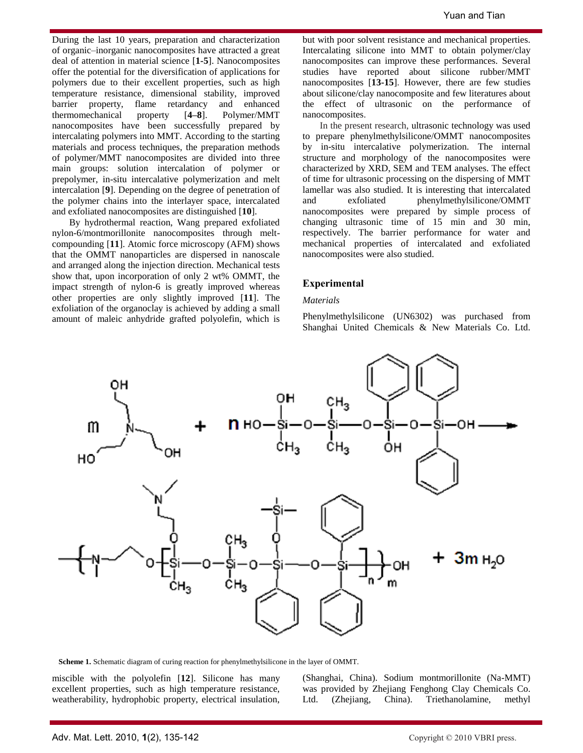During the last 10 years, preparation and characterization of organic–inorganic nanocomposites have attracted a great deal of attention in material science [**1-5**]. Nanocomposites offer the potential for the diversification of applications for polymers due to their excellent properties, such as high temperature resistance, dimensional stability, improved barrier property, flame retardancy and enhanced thermomechanical property [**4–8**]. Polymer/MMT nanocomposites have been successfully prepared by intercalating polymers into MMT. According to the starting materials and process techniques, the preparation methods of polymer/MMT nanocomposites are divided into three main groups: solution intercalation of polymer or prepolymer, in-situ intercalative polymerization and melt intercalation [**9**]. Depending on the degree of penetration of the polymer chains into the interlayer space, intercalated and exfoliated nanocomposites are distinguished [**10**].

By hydrothermal reaction, Wang prepared exfoliated nylon-6/montmorillonite nanocomposites through meltcompounding [**11**]. Atomic force microscopy (AFM) shows that the OMMT nanoparticles are dispersed in nanoscale and arranged along the injection direction. Mechanical tests show that, upon incorporation of only 2 wt% OMMT, the impact strength of nylon-6 is greatly improved whereas other properties are only slightly improved [**11**]. The exfoliation of the organoclay is achieved by adding a small amount of maleic anhydride grafted polyolefin, which is

but with poor solvent resistance and mechanical properties. Intercalating silicone into MMT to obtain polymer/clay nanocomposites can improve these performances. Several studies have reported about silicone rubber/MMT nanocomposites [**13-15**]. However, there are few studies about silicone/clay nanocomposite and few literatures about the effect of ultrasonic on the performance of nanocomposites.

In the present research, ultrasonic technology was used to prepare phenylmethylsilicone/OMMT nanocomposites by in-situ intercalative polymerization. The internal structure and morphology of the nanocomposites were characterized by XRD, SEM and TEM analyses. The effect of time for ultrasonic processing on the dispersing of MMT lamellar was also studied. It is interesting that intercalated and exfoliated phenylmethylsilicone/OMMT nanocomposites were prepared by simple process of changing ultrasonic time of 15 min and 30 min, respectively. The barrier performance for water and mechanical properties of intercalated and exfoliated nanocomposites were also studied.

## **Experimental**

### *Materials*

Phenylmethylsilicone (UN6302) was purchased from Shanghai United Chemicals & New Materials Co. Ltd.



**Scheme 1.** Schematic diagram of curing reaction for phenylmethylsilicone in the layer of OMMT.

miscible with the polyolefin [**12**]. Silicone has many excellent properties, such as high temperature resistance, weatherability, hydrophobic property, electrical insulation,

(Shanghai, China). Sodium montmorillonite (Na-MMT) was provided by Zhejiang Fenghong Clay Chemicals Co. Ltd. (Zhejiang, China). Triethanolamine, methyl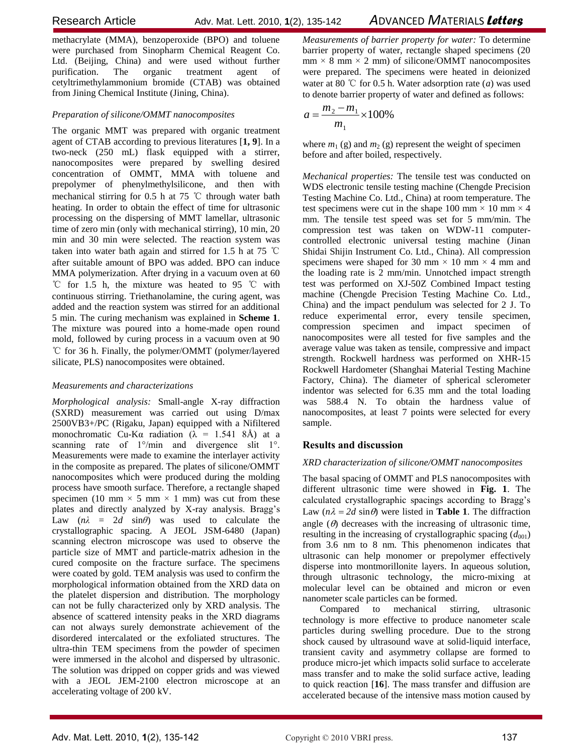methacrylate (MMA), benzoperoxide (BPO) and toluene were purchased from Sinopharm Chemical Reagent Co. Ltd. (Beijing, China) and were used without further purification. The organic treatment agent of cetyltrimethylammonium bromide (CTAB) was obtained from Jining Chemical Institute (Jining, China).

## *Preparation of silicone/OMMT nanocomposites*

The organic MMT was prepared with organic treatment agent of CTAB according to previous literatures [**1, 9**]. In a two-neck (250 mL) flask equipped with a stirrer, nanocomposites were prepared by swelling desired concentration of OMMT, MMA with toluene and prepolymer of phenylmethylsilicone, and then with mechanical stirring for 0.5 h at 75 ℃ through water bath heating. In order to obtain the effect of time for ultrasonic processing on the dispersing of MMT lamellar, ultrasonic time of zero min (only with mechanical stirring), 10 min, 20 min and 30 min were selected. The reaction system was taken into water bath again and stirred for 1.5 h at 75 ℃ after suitable amount of BPO was added. BPO can induce MMA polymerization. After drying in a vacuum oven at 60 ℃ for 1.5 h, the mixture was heated to 95 ℃ with continuous stirring. Triethanolamine, the curing agent, was added and the reaction system was stirred for an additional 5 min. The curing mechanism was explained in **Scheme 1**. The mixture was poured into a home-made open round mold, followed by curing process in a vacuum oven at 90 ℃ for 36 h. Finally, the polymer/OMMT (polymer/layered silicate, PLS) nanocomposites were obtained.

## *Measurements and characterizations*

*Morphological analysis:* Small-angle X-ray diffraction (SXRD) measurement was carried out using D/max 2500VB3+/PC (Rigaku, Japan) equipped with a Nifiltered monochromatic Cu-Kα radiation ( $\lambda$  = 1.541 8Å) at a scanning rate of  $1^{\circ}/\text{min}$  and divergence slit  $1^{\circ}$ . Measurements were made to examine the interlayer activity in the composite as prepared. The plates of silicone/OMMT nanocomposites which were produced during the molding process have smooth surface. Therefore, a rectangle shaped specimen (10 mm  $\times$  5 mm  $\times$  1 mm) was cut from these plates and directly analyzed by X-ray analysis. Bragg's Law  $(n\lambda = 2d \sin\theta)$  was used to calculate the crystallographic spacing. A JEOL JSM-6480 (Japan) scanning electron microscope was used to observe the particle size of MMT and particle-matrix adhesion in the cured composite on the fracture surface. The specimens were coated by gold. TEM analysis was used to confirm the morphological information obtained from the XRD data on the platelet dispersion and distribution. The morphology can not be fully characterized only by XRD analysis. The absence of scattered intensity peaks in the XRD diagrams can not always surely demonstrate achievement of the disordered intercalated or the exfoliated structures. The ultra-thin TEM specimens from the powder of specimen were immersed in the alcohol and dispersed by ultrasonic. The solution was dripped on copper grids and was viewed with a JEOL JEM-2100 electron microscope at an accelerating voltage of 200 kV.

*Measurements of barrier property for water:* To determine barrier property of water, rectangle shaped specimens (20  $mm \times 8 mm \times 2 mm$  of silicone/OMMT nanocomposites were prepared. The specimens were heated in deionized water at 80 ℃ for 0.5 h. Water adsorption rate (*a*) was used to denote barrier property of water and defined as follows:

$$
a = \frac{m_2 - m_1}{m_1} \times 100\%
$$

where  $m_1$  (g) and  $m_2$  (g) represent the weight of specimen before and after boiled, respectively.

*Mechanical properties:* The tensile test was conducted on WDS electronic tensile testing machine (Chengde Precision Testing Machine Co. Ltd., China) at room temperature. The test specimens were cut in the shape 100 mm  $\times$  10 mm  $\times$  4 mm. The tensile test speed was set for 5 mm/min. The compression test was taken on WDW-11 computercontrolled electronic universal testing machine (Jinan Shidai Shijin Instrument Co. Ltd., China). All compression specimens were shaped for 30 mm  $\times$  10 mm  $\times$  4 mm and the loading rate is 2 mm/min. Unnotched impact strength test was performed on XJ-50Z Combined Impact testing machine (Chengde Precision Testing Machine Co. Ltd., China) and the impact pendulum was selected for 2 J. To reduce experimental error, every tensile specimen, compression specimen and impact specimen of nanocomposites were all tested for five samples and the average value was taken as tensile, compressive and impact strength. Rockwell hardness was performed on XHR-15 Rockwell Hardometer (Shanghai Material Testing Machine Factory, China). The diameter of spherical sclerometer indentor was selected for 6.35 mm and the total loading was 588.4 N. To obtain the hardness value of nanocomposites, at least 7 points were selected for every sample.

# **Results and discussion**

## *XRD characterization of silicone/OMMT nanocomposites*

The basal spacing of OMMT and PLS nanocomposites with different ultrasonic time were showed in **Fig. 1**. The calculated crystallographic spacings according to Bragg's Law  $(n\lambda = 2d \sin \theta)$  were listed in **Table 1**. The diffraction angle  $(\theta)$  decreases with the increasing of ultrasonic time, resulting in the increasing of crystallographic spacing  $(d_{001})$ from 3.6 nm to 8 nm. This phenomenon indicates that ultrasonic can help monomer or prepolymer effectively disperse into montmorillonite layers. In aqueous solution, through ultrasonic technology, the micro-mixing at molecular level can be obtained and micron or even nanometer scale particles can be formed.

Compared to mechanical stirring, ultrasonic technology is more effective to produce nanometer scale particles during swelling procedure. Due to the strong shock caused by ultrasound wave at solid-liquid interface, transient cavity and asymmetry collapse are formed to produce micro-jet which impacts solid surface to accelerate mass transfer and to make the solid surface active, leading to quick reaction [**16**]. The mass transfer and diffusion are accelerated because of the intensive mass motion caused by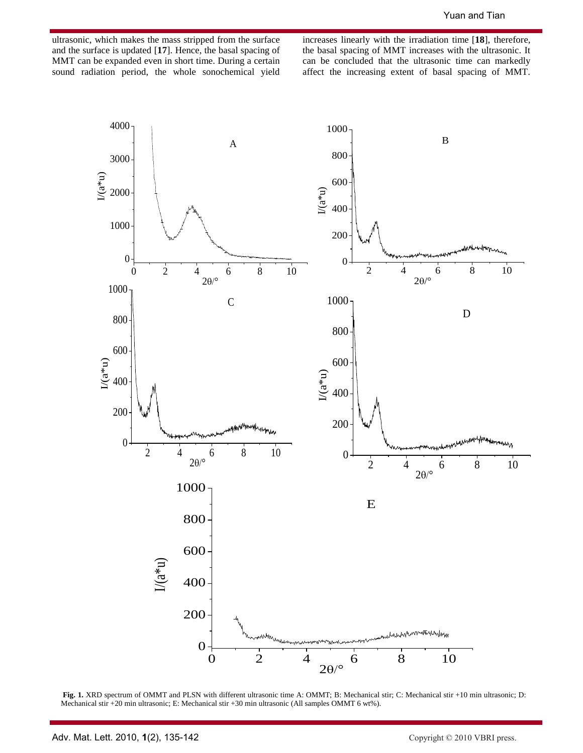ultrasonic, which makes the mass stripped from the surface and the surface is updated [**17**]. Hence, the basal spacing of MMT can be expanded even in short time. During a certain sound radiation period, the whole sonochemical yield increases linearly with the irradiation time [**18**], therefore, the basal spacing of MMT increases with the ultrasonic. It can be concluded that the ultrasonic time can markedly affect the increasing extent of basal spacing of MMT.



**Fig. 1.** XRD spectrum of OMMT and PLSN with different ultrasonic time A: OMMT; B: Mechanical stir; C: Mechanical stir +10 min ultrasonic; D: Mechanical stir +20 min ultrasonic; E: Mechanical stir +30 min ultrasonic (All samples OMMT 6 wt%).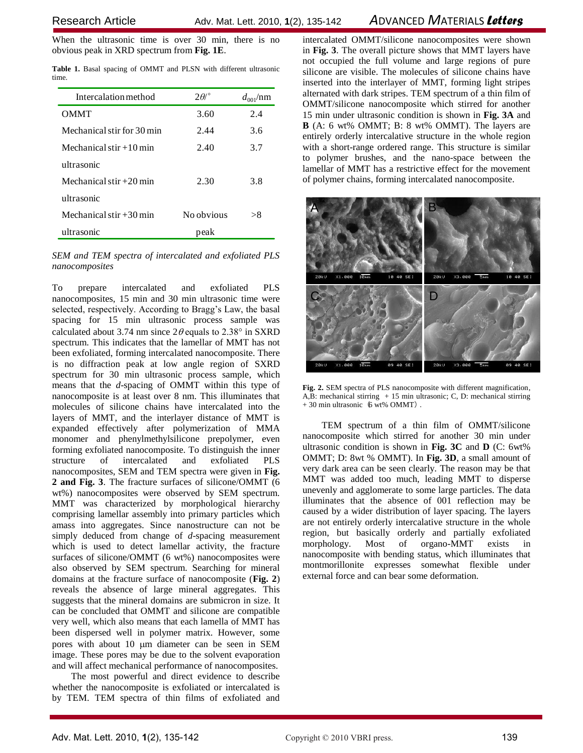When the ultrasonic time is over 30 min, there is no obvious peak in XRD spectrum from **Fig. 1E**.

|       |  |  |  |  | Table 1. Basal spacing of OMMT and PLSN with different ultrasonic |
|-------|--|--|--|--|-------------------------------------------------------------------|
| time. |  |  |  |  |                                                                   |

| Intercalation method       | $2\theta$ <sup>o</sup> | $d_{001}/nm$ |
|----------------------------|------------------------|--------------|
| <b>OMMT</b>                | 3.60                   | 2.4          |
| Mechanical stir for 30 min | 2.44                   | 3.6          |
| Mechanical stir $+10$ min  | 2.40                   | 3.7          |
| ultrasonic                 |                        |              |
| Mechanical stir $+20$ min  | 2.30                   | 3.8          |
| ultrasonic                 |                        |              |
| Mechanical stir $+30$ min  | No obvious             | > 8          |
| ultrasonic                 | peak                   |              |

*SEM and TEM spectra of intercalated and exfoliated PLS nanocomposites*

To prepare intercalated and exfoliated PLS nanocomposites, 15 min and 30 min ultrasonic time were selected, respectively. According to Bragg's Law, the basal spacing for 15 min ultrasonic process sample was calculated about 3.74 nm since  $2\theta$  equals to 2.38° in SXRD spectrum. This indicates that the lamellar of MMT has not been exfoliated, forming intercalated nanocomposite. There is no diffraction peak at low angle region of SXRD spectrum for 30 min ultrasonic process sample, which means that the *d*-spacing of OMMT within this type of nanocomposite is at least over 8 nm. This illuminates that molecules of silicone chains have intercalated into the layers of MMT, and the interlayer distance of MMT is expanded effectively after polymerization of MMA monomer and phenylmethylsilicone prepolymer, even forming exfoliated nanocomposite. To distinguish the inner structure of intercalated and exfoliated PLS nanocomposites, SEM and TEM spectra were given in **Fig. 2 and Fig. 3**. The fracture surfaces of silicone/OMMT (6 wt%) nanocomposites were observed by SEM spectrum. MMT was characterized by morphological hierarchy comprising lamellar assembly into primary particles which amass into aggregates. Since nanostructure can not be simply deduced from change of *d*-spacing measurement which is used to detect lamellar activity, the fracture surfaces of silicone/OMMT (6 wt%) nanocomposites were also observed by SEM spectrum. Searching for mineral domains at the fracture surface of nanocomposite (**Fig. 2**) reveals the absence of large mineral aggregates. This suggests that the mineral domains are submicron in size. It can be concluded that OMMT and silicone are compatible very well, which also means that each lamella of MMT has been dispersed well in polymer matrix. However, some pores with about 10 µm diameter can be seen in SEM image. These pores may be due to the solvent evaporation and will affect mechanical performance of nanocomposites.

The most powerful and direct evidence to describe whether the nanocomposite is exfoliated or intercalated is by TEM. TEM spectra of thin films of exfoliated and

intercalated OMMT/silicone nanocomposites were shown in **Fig. 3**. The overall picture shows that MMT layers have not occupied the full volume and large regions of pure silicone are visible. The molecules of silicone chains have inserted into the interlayer of MMT, forming light stripes alternated with dark stripes. TEM spectrum of a thin film of OMMT/silicone nanocomposite which stirred for another 15 min under ultrasonic condition is shown in **Fig. 3A** and **B** (A: 6 wt% OMMT; B: 8 wt% OMMT). The layers are entirely orderly intercalative structure in the whole region with a short-range ordered range. This structure is similar to polymer brushes, and the nano-space between the lamellar of MMT has a restrictive effect for the movement of polymer chains, forming intercalated nanocomposite.



**Fig. 2.** SEM spectra of PLS nanocomposite with different magnification, A,B: mechanical stirring  $+ 15$  min ultrasonic; C, D: mechanical stirring  $+30$  min ultrasonic  $(6 \text{ wt\%} \text{ OMMT})$ .

TEM spectrum of a thin film of OMMT/silicone nanocomposite which stirred for another 30 min under ultrasonic condition is shown in **Fig. 3C** and **D** (C: 6wt% OMMT; D: 8wt % OMMT). In **Fig. 3D**, a small amount of very dark area can be seen clearly. The reason may be that MMT was added too much, leading MMT to disperse unevenly and agglomerate to some large particles. The data illuminates that the absence of 001 reflection may be caused by a wider distribution of layer spacing. The layers are not entirely orderly intercalative structure in the whole region, but basically orderly and partially exfoliated morphology. Most of organo-MMT exists in nanocomposite with bending status, which illuminates that montmorillonite expresses somewhat flexible under external force and can bear some deformation.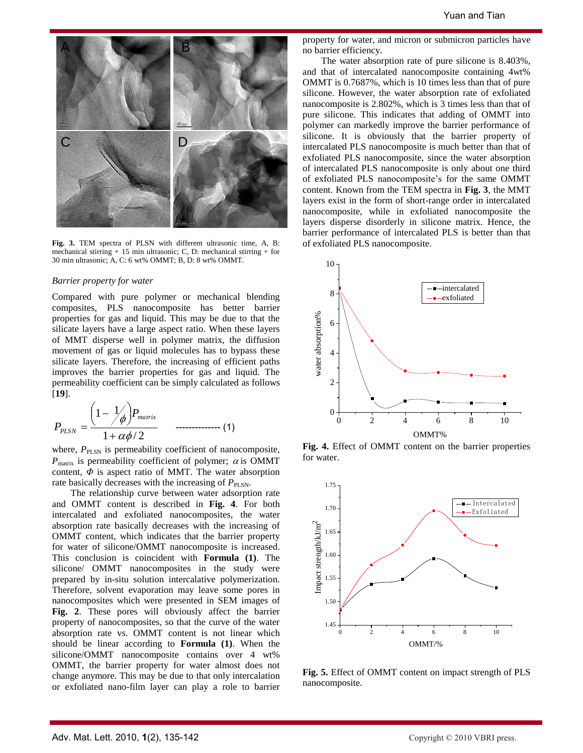

**Fig. 3.** TEM spectra of PLSN with different ultrasonic time, A, B: mechanical stirring + 15 min ultrasonic; C, D: mechanical stirring + for 30 min ultrasonic; A, C: 6 wt% OMMT; B, D: 8 wt% OMMT.

#### *Barrier property for water*

Compared with pure polymer or mechanical blending composites, PLS nanocomposite has better barrier properties for gas and liquid. This may be due to that the silicate layers have a large aspect ratio. When these layers of MMT disperse well in polymer matrix, the diffusion movement of gas or liquid molecules has to bypass these silicate layers. Therefore, the increasing of efficient paths improves the barrier properties for gas and liquid. The permeability coefficient can be simply calculated as follows [**19**].

$$
P_{PLSN} = \frac{\left(1 - \frac{1}{\phi}\right) P_{matrix}}{1 + \alpha \phi / 2} \qquad \qquad 1. \tag{1}
$$

where,  $P_{\text{PLSN}}$  is permeability coefficient of nanocomposite,  $P_{\text{matrix}}$  is permeability coefficient of polymer;  $\alpha$  is OMMT content,  $\Phi$  is aspect ratio of MMT. The water absorption rate basically decreases with the increasing of  $P_{\text{PLSN}}$ .

The relationship curve between water adsorption rate and OMMT content is described in **Fig. 4**. For both intercalated and exfoliated nanocomposites, the water absorption rate basically decreases with the increasing of OMMT content, which indicates that the barrier property for water of silicone/OMMT nanocomposite is increased. This conclusion is coincident with **Formula (1)**. The silicone/ OMMT nanocomposites in the study were prepared by in-situ solution intercalative polymerization. Therefore, solvent evaporation may leave some pores in nanocomposites which were presented in SEM images of **Fig. 2**. These pores will obviously affect the barrier property of nanocomposites, so that the curve of the water absorption rate vs. OMMT content is not linear which should be linear according to **Formula (1)**. When the silicone/OMMT nanocomposite contains over 4 wt% OMMT, the barrier property for water almost does not change anymore. This may be due to that only intercalation or exfoliated nano-film layer can play a role to barrier

property for water, and micron or submicron particles have no barrier efficiency.

The water absorption rate of pure silicone is 8.403%, and that of intercalated nanocomposite containing 4wt% OMMT is 0.7687%, which is 10 times less than that of pure silicone. However, the water absorption rate of exfoliated nanocomposite is 2.802%, which is 3 times less than that of pure silicone. This indicates that adding of OMMT into polymer can markedly improve the barrier performance of silicone. It is obviously that the barrier property of intercalated PLS nanocomposite is much better than that of exfoliated PLS nanocomposite, since the water absorption of intercalated PLS nanocomposite is only about one third of exfoliated PLS nanocomposite's for the same OMMT content. Known from the TEM spectra in **Fig. 3**, the MMT layers exist in the form of short-range order in intercalated nanocomposite, while in exfoliated nanocomposite the layers disperse disorderly in silicone matrix. Hence, the barrier performance of intercalated PLS is better than that of exfoliated PLS nanocomposite.



**Fig. 4.** Effect of OMMT content on the barrier properties for water.



**Fig. 5.** Effect of OMMT content on impact strength of PLS nanocomposite.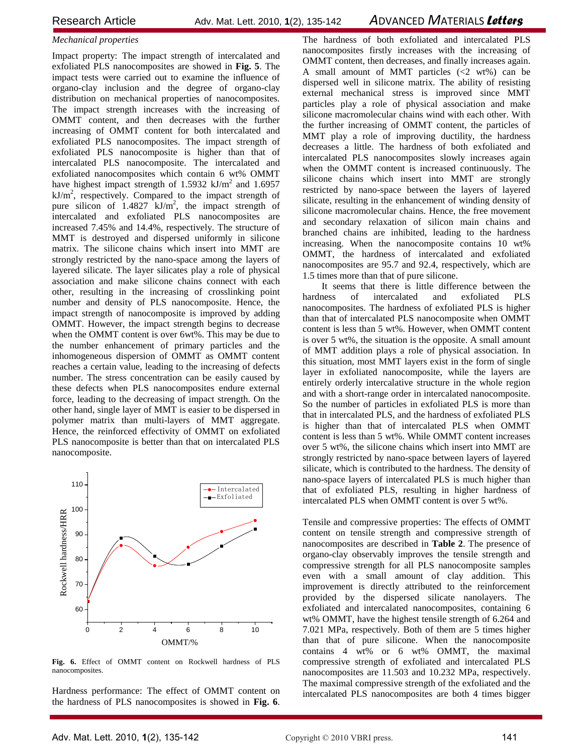# *Mechanical properties*

Impact property: The impact strength of intercalated and exfoliated PLS nanocomposites are showed in **Fig. 5**. The impact tests were carried out to examine the influence of organo-clay inclusion and the degree of organo-clay distribution on mechanical properties of nanocomposites. The impact strength increases with the increasing of OMMT content, and then decreases with the further increasing of OMMT content for both intercalated and exfoliated PLS nanocomposites. The impact strength of exfoliated PLS nanocomposite is higher than that of intercalated PLS nanocomposite. The intercalated and exfoliated nanocomposites which contain 6 wt% OMMT have highest impact strength of 1.5932  $kJ/m<sup>2</sup>$  and 1.6957  $kJ/m<sup>2</sup>$ , respectively. Compared to the impact strength of pure silicon of  $1.4827$  kJ/m<sup>2</sup>, the impact strength of intercalated and exfoliated PLS nanocomposites are increased 7.45% and 14.4%, respectively. The structure of MMT is destroyed and dispersed uniformly in silicone matrix. The silicone chains which insert into MMT are strongly restricted by the nano-space among the layers of layered silicate. The layer silicates play a role of physical association and make silicone chains connect with each other, resulting in the increasing of crosslinking point number and density of PLS nanocomposite. Hence, the impact strength of nanocomposite is improved by adding OMMT. However, the impact strength begins to decrease when the OMMT content is over 6wt%. This may be due to the number enhancement of primary particles and the inhomogeneous dispersion of OMMT as OMMT content reaches a certain value, leading to the increasing of defects number. The stress concentration can be easily caused by these defects when PLS nanocomposites endure external force, leading to the decreasing of impact strength. On the other hand, single layer of MMT is easier to be dispersed in polymer matrix than multi-layers of MMT aggregate. Hence, the reinforced effectivity of OMMT on exfoliated PLS nanocomposite is better than that on intercalated PLS nanocomposite.



**Fig. 6.** Effect of OMMT content on Rockwell hardness of PLS nanocomposites.

Hardness performance: The effect of OMMT content on the hardness of PLS nanocomposites is showed in **Fig. 6**. The hardness of both exfoliated and intercalated PLS nanocomposites firstly increases with the increasing of OMMT content, then decreases, and finally increases again. A small amount of MMT particles  $(\leq 2 \text{ wt\%})$  can be dispersed well in silicone matrix. The ability of resisting external mechanical stress is improved since MMT particles play a role of physical association and make silicone macromolecular chains wind with each other. With the further increasing of OMMT content, the particles of MMT play a role of improving ductility, the hardness decreases a little. The hardness of both exfoliated and intercalated PLS nanocomposites slowly increases again when the OMMT content is increased continuously. The silicone chains which insert into MMT are strongly restricted by nano-space between the layers of layered silicate, resulting in the enhancement of winding density of silicone macromolecular chains. Hence, the free movement and secondary relaxation of silicon main chains and branched chains are inhibited, leading to the hardness increasing. When the nanocomposite contains 10 wt% OMMT, the hardness of intercalated and exfoliated nanocomposites are 95.7 and 92.4, respectively, which are 1.5 times more than that of pure silicone.

It seems that there is little difference between the hardness of intercalated and exfoliated PLS nanocomposites. The hardness of exfoliated PLS is higher than that of intercalated PLS nanocomposite when OMMT content is less than 5 wt%. However, when OMMT content is over 5 wt%, the situation is the opposite. A small amount of MMT addition plays a role of physical association. In this situation, most MMT layers exist in the form of single layer in exfoliated nanocomposite, while the layers are entirely orderly intercalative structure in the whole region and with a short-range order in intercalated nanocomposite. So the number of particles in exfoliated PLS is more than that in intercalated PLS, and the hardness of exfoliated PLS is higher than that of intercalated PLS when OMMT content is less than 5 wt%. While OMMT content increases over 5 wt%, the silicone chains which insert into MMT are strongly restricted by nano-space between layers of layered silicate, which is contributed to the hardness. The density of nano-space layers of intercalated PLS is much higher than that of exfoliated PLS, resulting in higher hardness of intercalated PLS when OMMT content is over 5 wt%.

Tensile and compressive properties: The effects of OMMT content on tensile strength and compressive strength of nanocomposites are described in **Table 2**. The presence of organo-clay observably improves the tensile strength and compressive strength for all PLS nanocomposite samples even with a small amount of clay addition. This improvement is directly attributed to the reinforcement provided by the dispersed silicate nanolayers. The exfoliated and intercalated nanocomposites, containing 6 wt% OMMT, have the highest tensile strength of 6.264 and 7.021 MPa, respectively. Both of them are 5 times higher than that of pure silicone. When the nanocomposite contains 4 wt% or 6 wt% OMMT, the maximal compressive strength of exfoliated and intercalated PLS nanocomposites are 11.503 and 10.232 MPa, respectively. The maximal compressive strength of the exfoliated and the intercalated PLS nanocomposites are both 4 times bigger